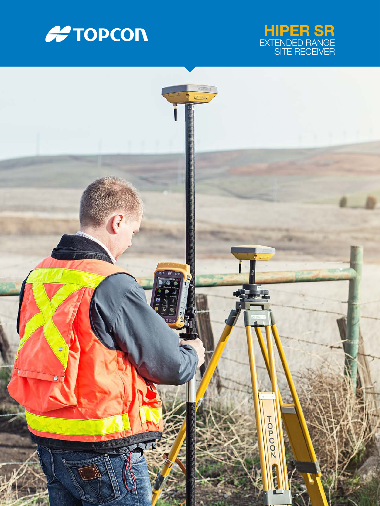



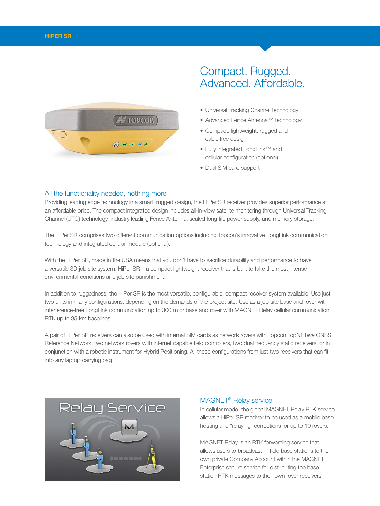

# Compact. Rugged. Advanced. Affordable.

- Universal Tracking Channel technology
- Advanced Fence Antenna™ technology
- Compact, lightweight, rugged and cable free design
- Fully integrated LongLink™ and cellular configuration (optional)
- Dual SIM card support

#### All the functionality needed, nothing more

Providing leading edge technology in a smart, rugged design, the HiPer SR receiver provides superior performance at an affordable price. The compact integrated design includes all-in-view satellite monitoring through Universal Tracking Channel (UTC) technology, industry leading Fence Antenna, sealed long-life power supply, and memory storage.

The HiPer SR comprises two different communication options including Topcon's innovative LongLink communication technology and integrated cellular module (optional).

With the HiPer SR, made in the USA means that you don't have to sacrifice durability and performance to have a versatile 3D job site system. HiPer SR – a compact lightweight receiver that is built to take the most intense environmental conditions and job site punishment.

In addition to ruggedness, the HiPer SR is the most versatile, configurable, compact receiver system available. Use just two units in many configurations, depending on the demands of the project site. Use as a job site base and rover with interference-free LongLink communication up to 300 m or base and rover with MAGNET Relay cellular communication RTK up to 35 km baselines.

A pair of HiPer SR receivers can also be used with internal SIM cards as network rovers with Topcon TopNET*live* GNSS Reference Network, two network rovers with internet capable field controllers, two dual frequency static receivers, or in conjunction with a robotic instrument for Hybrid Positioning. All these configurations from just two receivers that can fit into any laptop carrying bag.



### MAGNET® Relay service

In cellular mode, the global MAGNET Relay RTK service allows a HiPer SR receiver to be used as a mobile base hosting and "relaying" corrections for up to 10 rovers.

MAGNET Relay is an RTK forwarding service that allows users to broadcast in-field base stations to their own private Company Account within the MAGNET Enterprise secure service for distributing the base station RTK messages to their own rover receivers.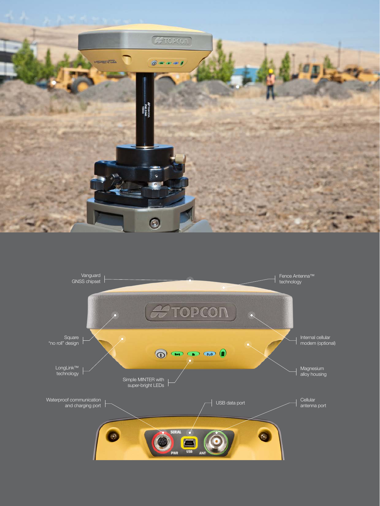